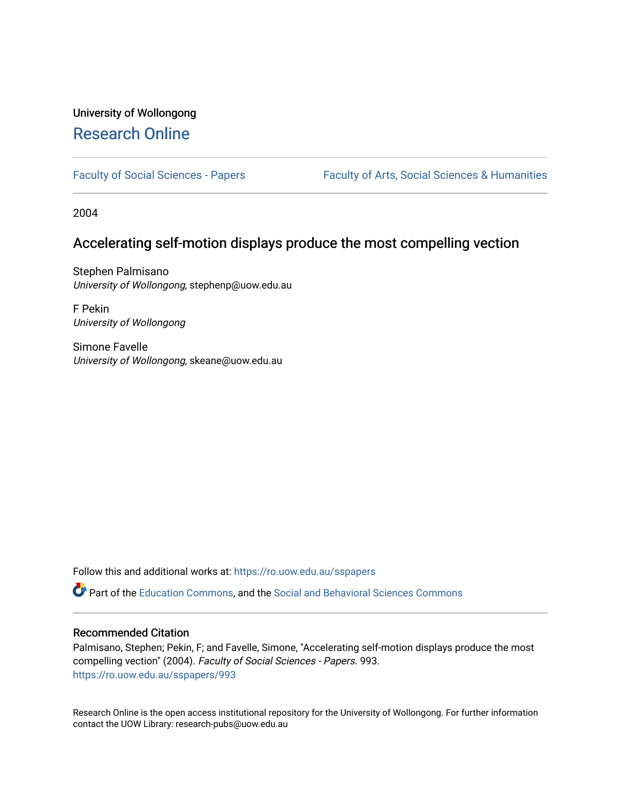# University of Wollongong [Research Online](https://ro.uow.edu.au/)

[Faculty of Social Sciences - Papers](https://ro.uow.edu.au/sspapers) Faculty of Arts, Social Sciences & Humanities

2004

## Accelerating self-motion displays produce the most compelling vection

Stephen Palmisano University of Wollongong, stephenp@uow.edu.au

F Pekin University of Wollongong

Simone Favelle University of Wollongong, skeane@uow.edu.au

Follow this and additional works at: [https://ro.uow.edu.au/sspapers](https://ro.uow.edu.au/sspapers?utm_source=ro.uow.edu.au%2Fsspapers%2F993&utm_medium=PDF&utm_campaign=PDFCoverPages) 

Part of the [Education Commons](http://network.bepress.com/hgg/discipline/784?utm_source=ro.uow.edu.au%2Fsspapers%2F993&utm_medium=PDF&utm_campaign=PDFCoverPages), and the [Social and Behavioral Sciences Commons](http://network.bepress.com/hgg/discipline/316?utm_source=ro.uow.edu.au%2Fsspapers%2F993&utm_medium=PDF&utm_campaign=PDFCoverPages) 

#### Recommended Citation

Palmisano, Stephen; Pekin, F; and Favelle, Simone, "Accelerating self-motion displays produce the most compelling vection" (2004). Faculty of Social Sciences - Papers. 993. [https://ro.uow.edu.au/sspapers/993](https://ro.uow.edu.au/sspapers/993?utm_source=ro.uow.edu.au%2Fsspapers%2F993&utm_medium=PDF&utm_campaign=PDFCoverPages) 

Research Online is the open access institutional repository for the University of Wollongong. For further information contact the UOW Library: research-pubs@uow.edu.au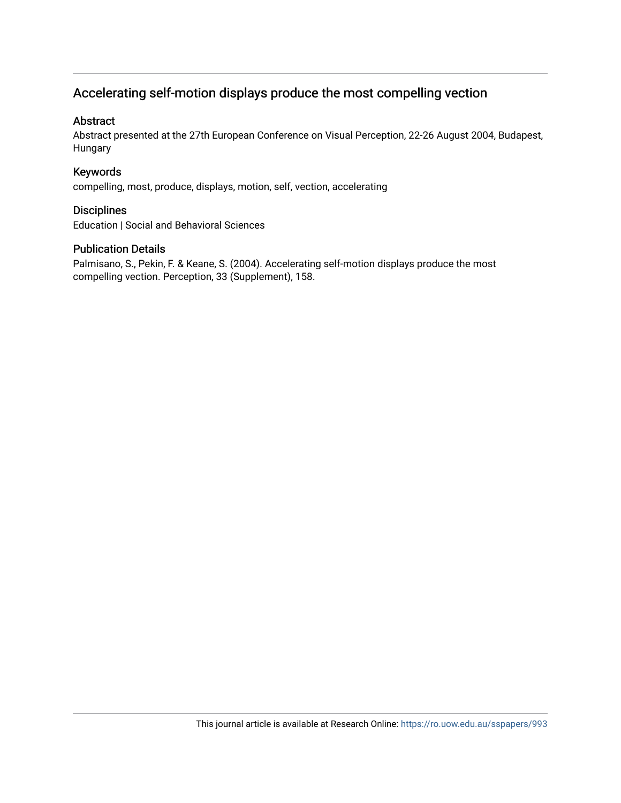# Accelerating self-motion displays produce the most compelling vection

### Abstract

Abstract presented at the 27th European Conference on Visual Perception, 22-26 August 2004, Budapest, Hungary

### Keywords

compelling, most, produce, displays, motion, self, vection, accelerating

### **Disciplines**

Education | Social and Behavioral Sciences

### Publication Details

Palmisano, S., Pekin, F. & Keane, S. (2004). Accelerating self-motion displays produce the most compelling vection. Perception, 33 (Supplement), 158.